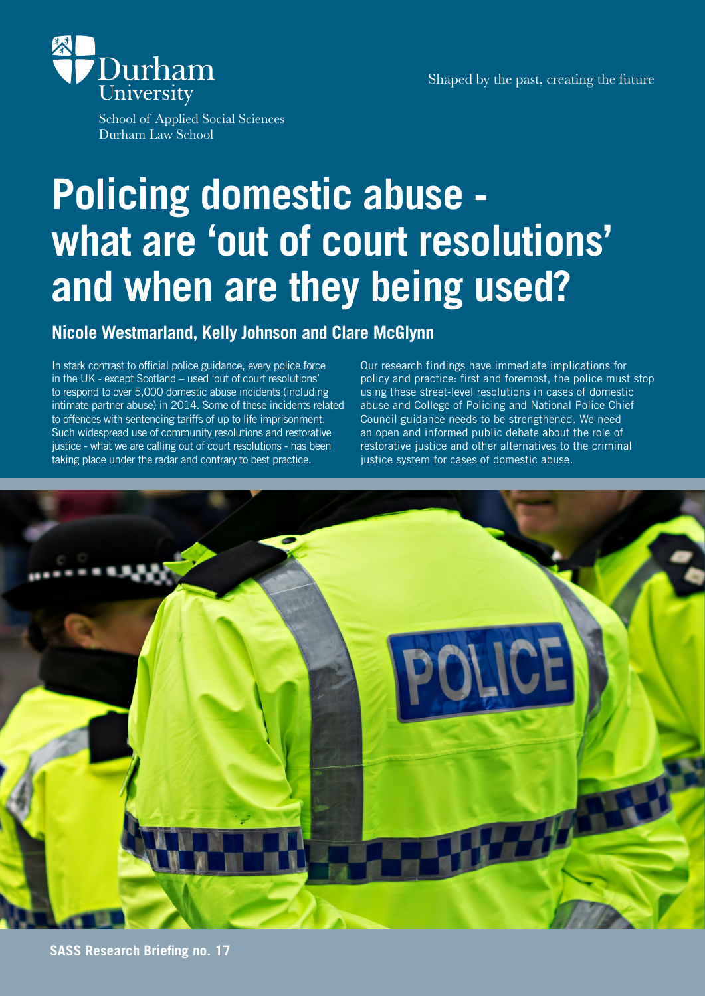Shaped by the past, creating the future



School of Applied Social Sciences Durham Law School

# **Policing domestic abuse what are 'out of court resolutions' and when are they being used?**

### **Nicole Westmarland, Kelly Johnson and Clare McGlynn**

In stark contrast to official police guidance, every police force in the UK - except Scotland – used 'out of court resolutions' to respond to over 5,000 domestic abuse incidents (including intimate partner abuse) in 2014. Some of these incidents related to offences with sentencing tariffs of up to life imprisonment. Such widespread use of community resolutions and restorative justice - what we are calling out of court resolutions - has been taking place under the radar and contrary to best practice.

Our research findings have immediate implications for policy and practice: first and foremost, the police must stop using these street-level resolutions in cases of domestic abuse and College of Policing and National Police Chief Council guidance needs to be strengthened. We need an open and informed public debate about the role of restorative justice and other alternatives to the criminal justice system for cases of domestic abuse.

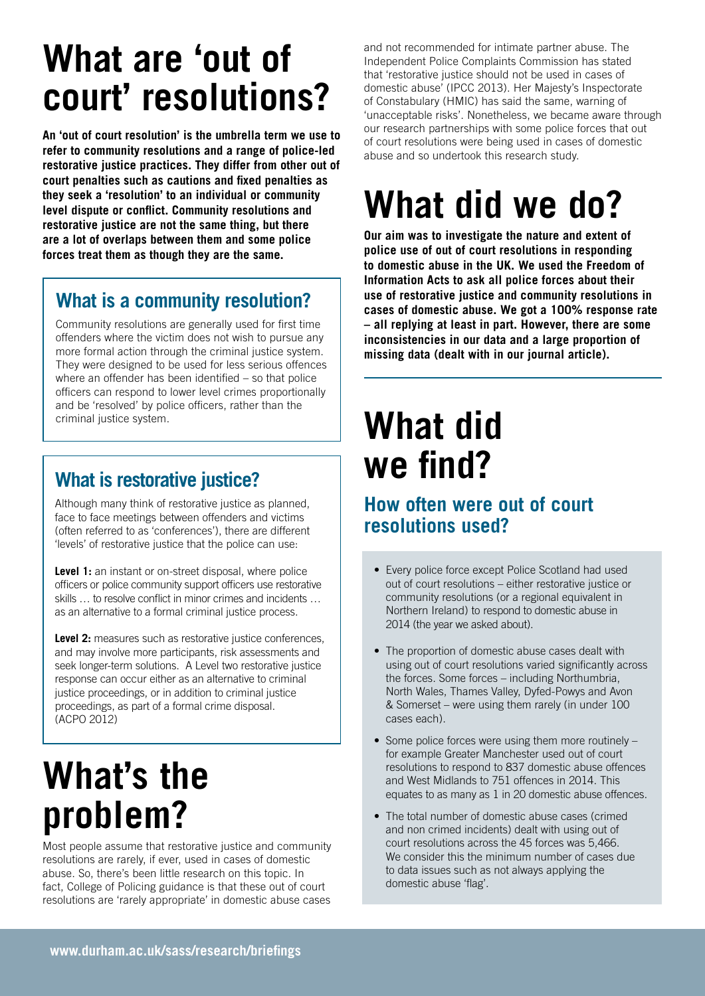# **What are 'out of court' resolutions?**

**An 'out of court resolution' is the umbrella term we use to refer to community resolutions and a range of police-led restorative justice practices. They differ from other out of court penalties such as cautions and fixed penalties as they seek a 'resolution' to an individual or community level dispute or conflict. Community resolutions and restorative justice are not the same thing, but there are a lot of overlaps between them and some police forces treat them as though they are the same.**

### **What is a community resolution?**

Community resolutions are generally used for first time offenders where the victim does not wish to pursue any more formal action through the criminal justice system. They were designed to be used for less serious offences where an offender has been identified – so that police officers can respond to lower level crimes proportionally and be 'resolved' by police officers, rather than the criminal justice system.

### **What is restorative justice?**

Although many think of restorative justice as planned, face to face meetings between offenders and victims (often referred to as 'conferences'), there are different 'levels' of restorative justice that the police can use:

Level 1: an instant or on-street disposal, where police officers or police community support officers use restorative skills … to resolve conflict in minor crimes and incidents … as an alternative to a formal criminal justice process.

**Level 2:** measures such as restorative justice conferences, and may involve more participants, risk assessments and seek longer-term solutions. A Level two restorative justice response can occur either as an alternative to criminal justice proceedings, or in addition to criminal justice proceedings, as part of a formal crime disposal. (ACPO 2012)

# **What's the problem?**

Most people assume that restorative justice and community resolutions are rarely, if ever, used in cases of domestic abuse. So, there's been little research on this topic. In fact, College of Policing guidance is that these out of court resolutions are 'rarely appropriate' in domestic abuse cases

and not recommended for intimate partner abuse. The Independent Police Complaints Commission has stated that 'restorative justice should not be used in cases of domestic abuse' (IPCC 2013). Her Majesty's Inspectorate of Constabulary (HMIC) has said the same, warning of 'unacceptable risks'. Nonetheless, we became aware through our research partnerships with some police forces that out of court resolutions were being used in cases of domestic abuse and so undertook this research study.

# **What did we do?**

**Our aim was to investigate the nature and extent of police use of out of court resolutions in responding to domestic abuse in the UK. We used the Freedom of Information Acts to ask all police forces about their use of restorative justice and community resolutions in cases of domestic abuse. We got a 100% response rate – all replying at least in part. However, there are some inconsistencies in our data and a large proportion of missing data (dealt with in our journal article).** 

# **What did we find?**

### **How often were out of court resolutions used?**

- Every police force except Police Scotland had used out of court resolutions – either restorative justice or community resolutions (or a regional equivalent in Northern Ireland) to respond to domestic abuse in 2014 (the year we asked about).
- The proportion of domestic abuse cases dealt with using out of court resolutions varied significantly across the forces. Some forces – including Northumbria, North Wales, Thames Valley, Dyfed-Powys and Avon & Somerset – were using them rarely (in under 100 cases each).
- Some police forces were using them more routinely for example Greater Manchester used out of court resolutions to respond to 837 domestic abuse offences and West Midlands to 751 offences in 2014. This equates to as many as 1 in 20 domestic abuse offences.
- The total number of domestic abuse cases (crimed and non crimed incidents) dealt with using out of court resolutions across the 45 forces was 5,466. We consider this the minimum number of cases due to data issues such as not always applying the domestic abuse 'flag'.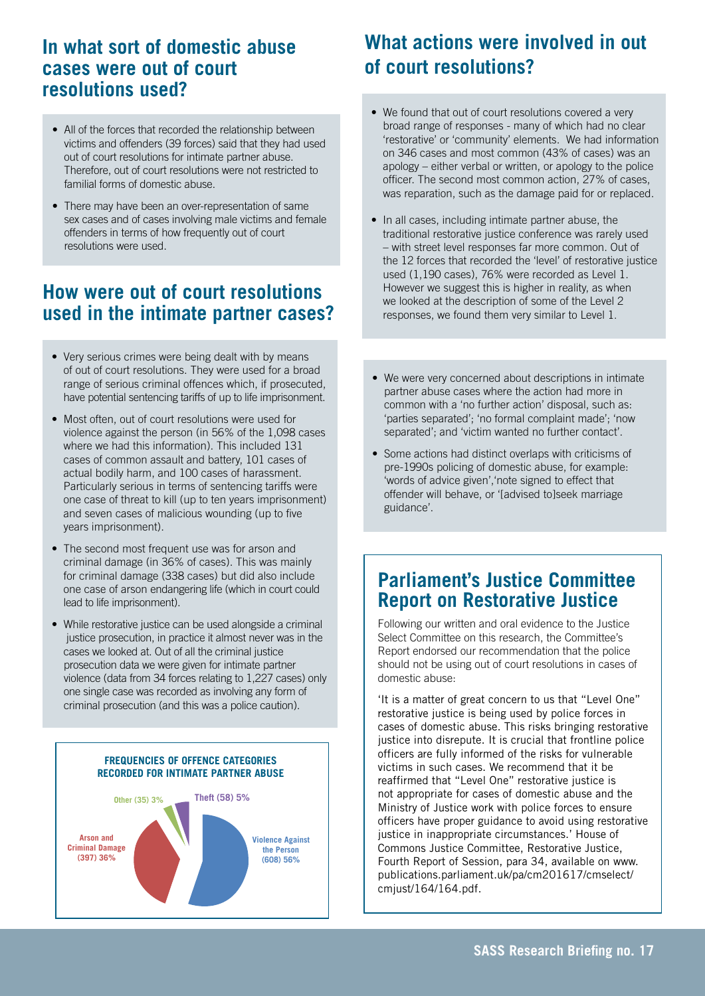### **In what sort of domestic abuse cases were out of court resolutions used?**

- All of the forces that recorded the relationship between victims and offenders (39 forces) said that they had used out of court resolutions for intimate partner abuse. Therefore, out of court resolutions were not restricted to familial forms of domestic abuse.
- There may have been an over-representation of same sex cases and of cases involving male victims and female offenders in terms of how frequently out of court resolutions were used.

### **How were out of court resolutions used in the intimate partner cases?**

- Very serious crimes were being dealt with by means of out of court resolutions. They were used for a broad range of serious criminal offences which, if prosecuted, have potential sentencing tariffs of up to life imprisonment.
- Most often, out of court resolutions were used for violence against the person (in 56% of the 1,098 cases where we had this information). This included 131 cases of common assault and battery, 101 cases of actual bodily harm, and 100 cases of harassment. Particularly serious in terms of sentencing tariffs were one case of threat to kill (up to ten years imprisonment) and seven cases of malicious wounding (up to five years imprisonment).
- The second most frequent use was for arson and criminal damage (in 36% of cases). This was mainly for criminal damage (338 cases) but did also include one case of arson endangering life (which in court could lead to life imprisonment).
- While restorative justice can be used alongside a criminal justice prosecution, in practice it almost never was in the cases we looked at. Out of all the criminal justice prosecution data we were given for intimate partner violence (data from 34 forces relating to 1,227 cases) only one single case was recorded as involving any form of criminal prosecution (and this was a police caution).



### **What actions were involved in out of court resolutions?**

- We found that out of court resolutions covered a very broad range of responses - many of which had no clear 'restorative' or 'community' elements. We had information on 346 cases and most common (43% of cases) was an apology – either verbal or written, or apology to the police officer. The second most common action, 27% of cases, was reparation, such as the damage paid for or replaced.
- In all cases, including intimate partner abuse, the traditional restorative justice conference was rarely used – with street level responses far more common. Out of the 12 forces that recorded the 'level' of restorative justice used (1,190 cases), 76% were recorded as Level 1. However we suggest this is higher in reality, as when we looked at the description of some of the Level 2 responses, we found them very similar to Level 1.
- We were very concerned about descriptions in intimate partner abuse cases where the action had more in common with a 'no further action' disposal, such as: 'parties separated'; 'no formal complaint made'; 'now separated'; and 'victim wanted no further contact'.
- Some actions had distinct overlaps with criticisms of pre-1990s policing of domestic abuse, for example: 'words of advice given','note signed to effect that offender will behave, or '[advised to]seek marriage guidance'.

### **Parliament's Justice Committee Report on Restorative Justice**

Following our written and oral evidence to the Justice Select Committee on this research, the Committee's Report endorsed our recommendation that the police should not be using out of court resolutions in cases of domestic abuse:

'It is a matter of great concern to us that "Level One" restorative justice is being used by police forces in cases of domestic abuse. This risks bringing restorative justice into disrepute. It is crucial that frontline police officers are fully informed of the risks for vulnerable victims in such cases. We recommend that it be reaffirmed that "Level One" restorative justice is not appropriate for cases of domestic abuse and the Ministry of Justice work with police forces to ensure officers have proper guidance to avoid using restorative justice in inappropriate circumstances.' House of Commons Justice Committee, Restorative Justice, Fourth Report of Session, para 34, available on www. publications.parliament.uk/pa/cm201617/cmselect/ cmjust/164/164.pdf.